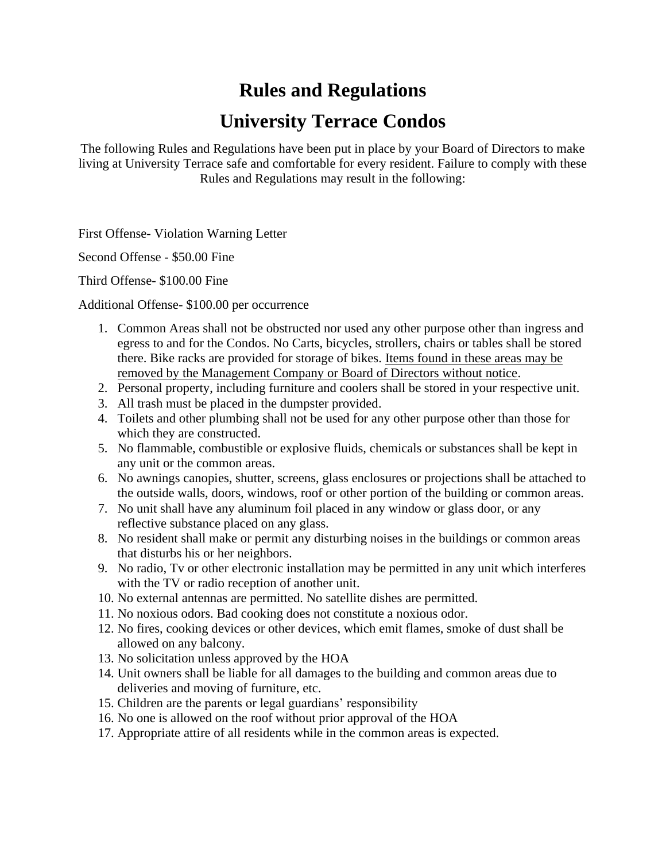## **Rules and Regulations**

## **University Terrace Condos**

The following Rules and Regulations have been put in place by your Board of Directors to make living at University Terrace safe and comfortable for every resident. Failure to comply with these Rules and Regulations may result in the following:

First Offense- Violation Warning Letter

Second Offense - \$50.00 Fine

Third Offense- \$100.00 Fine

Additional Offense- \$100.00 per occurrence

- 1. Common Areas shall not be obstructed nor used any other purpose other than ingress and egress to and for the Condos. No Carts, bicycles, strollers, chairs or tables shall be stored there. Bike racks are provided for storage of bikes. Items found in these areas may be removed by the Management Company or Board of Directors without notice.
- 2. Personal property, including furniture and coolers shall be stored in your respective unit.
- 3. All trash must be placed in the dumpster provided.
- 4. Toilets and other plumbing shall not be used for any other purpose other than those for which they are constructed.
- 5. No flammable, combustible or explosive fluids, chemicals or substances shall be kept in any unit or the common areas.
- 6. No awnings canopies, shutter, screens, glass enclosures or projections shall be attached to the outside walls, doors, windows, roof or other portion of the building or common areas.
- 7. No unit shall have any aluminum foil placed in any window or glass door, or any reflective substance placed on any glass.
- 8. No resident shall make or permit any disturbing noises in the buildings or common areas that disturbs his or her neighbors.
- 9. No radio, Tv or other electronic installation may be permitted in any unit which interferes with the TV or radio reception of another unit.
- 10. No external antennas are permitted. No satellite dishes are permitted.
- 11. No noxious odors. Bad cooking does not constitute a noxious odor.
- 12. No fires, cooking devices or other devices, which emit flames, smoke of dust shall be allowed on any balcony.
- 13. No solicitation unless approved by the HOA
- 14. Unit owners shall be liable for all damages to the building and common areas due to deliveries and moving of furniture, etc.
- 15. Children are the parents or legal guardians' responsibility
- 16. No one is allowed on the roof without prior approval of the HOA
- 17. Appropriate attire of all residents while in the common areas is expected.